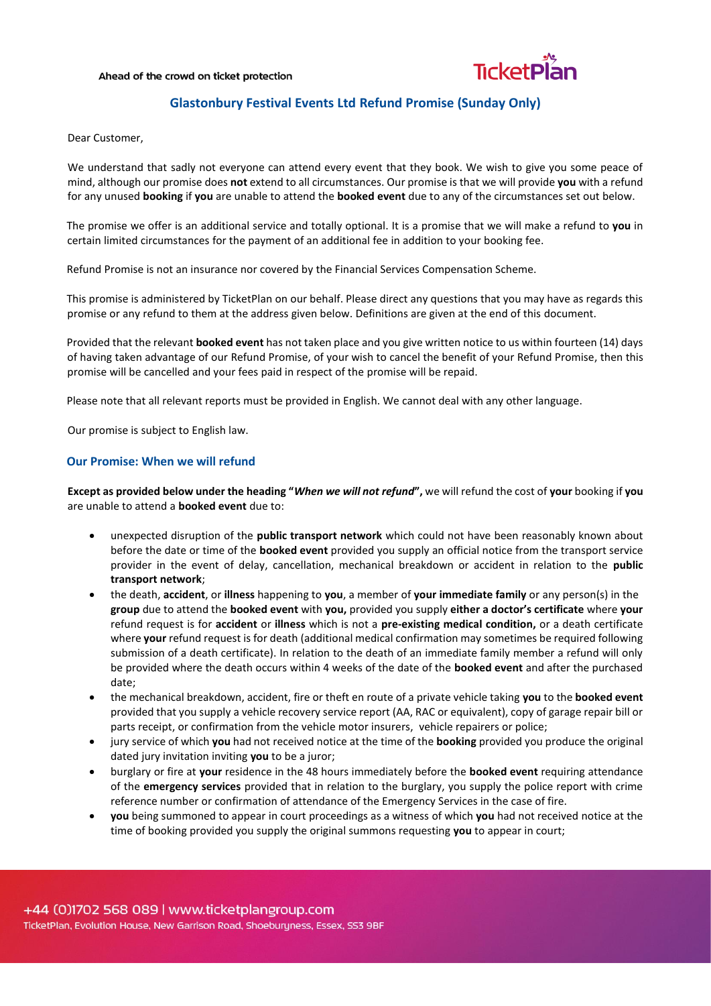#### Ahead of the crowd on ticket protection



# **Glastonbury Festival Events Ltd Refund Promise (Sunday Only)**

Dear Customer,

We understand that sadly not everyone can attend every event that they book. We wish to give you some peace of mind, although our promise does **not** extend to all circumstances. Our promise is that we will provide **you** with a refund for any unused **booking** if **you** are unable to attend the **booked event** due to any of the circumstances set out below.

The promise we offer is an additional service and totally optional. It is a promise that we will make a refund to **you** in certain limited circumstances for the payment of an additional fee in addition to your booking fee.

Refund Promise is not an insurance nor covered by the Financial Services Compensation Scheme.

This promise is administered by TicketPlan on our behalf. Please direct any questions that you may have as regards this promise or any refund to them at the address given below. Definitions are given at the end of this document.

Provided that the relevant **booked event** has not taken place and you give written notice to us within fourteen (14) days of having taken advantage of our Refund Promise, of your wish to cancel the benefit of your Refund Promise, then this promise will be cancelled and your fees paid in respect of the promise will be repaid.

Please note that all relevant reports must be provided in English. We cannot deal with any other language.

Our promise is subject to English law.

## **Our Promise: When we will refund**

**Except as provided below under the heading "***When we will not refund***",** we will refund the cost of **your** booking if **you** are unable to attend a **booked event** due to:

- unexpected disruption of the **public transport network** which could not have been reasonably known about before the date or time of the **booked event** provided you supply an official notice from the transport service provider in the event of delay, cancellation, mechanical breakdown or accident in relation to the **public transport network**;
- the death, **accident**, or **illness** happening to **you**, a member of **your immediate family** or any person(s) in the **group** due to attend the **booked event** with **you,** provided you supply **either a doctor's certificate** where **your** refund request is for **accident** or **illness** which is not a **pre-existing medical condition,** or a death certificate where **your** refund request is for death (additional medical confirmation may sometimes be required following submission of a death certificate). In relation to the death of an immediate family member a refund will only be provided where the death occurs within 4 weeks of the date of the **booked event** and after the purchased date;
- the mechanical breakdown, accident, fire or theft en route of a private vehicle taking **you** to the **booked event** provided that you supply a vehicle recovery service report (AA, RAC or equivalent), copy of garage repair bill or parts receipt, or confirmation from the vehicle motor insurers, vehicle repairers or police;
- jury service of which **you** had not received notice at the time of the **booking** provided you produce the original dated jury invitation inviting **you** to be a juror;
- burglary or fire at **your** residence in the 48 hours immediately before the **booked event** requiring attendance of the **emergency services** provided that in relation to the burglary, you supply the police report with crime reference number or confirmation of attendance of the Emergency Services in the case of fire.
- **you** being summoned to appear in court proceedings as a witness of which **you** had not received notice at the time of booking provided you supply the original summons requesting **you** to appear in court;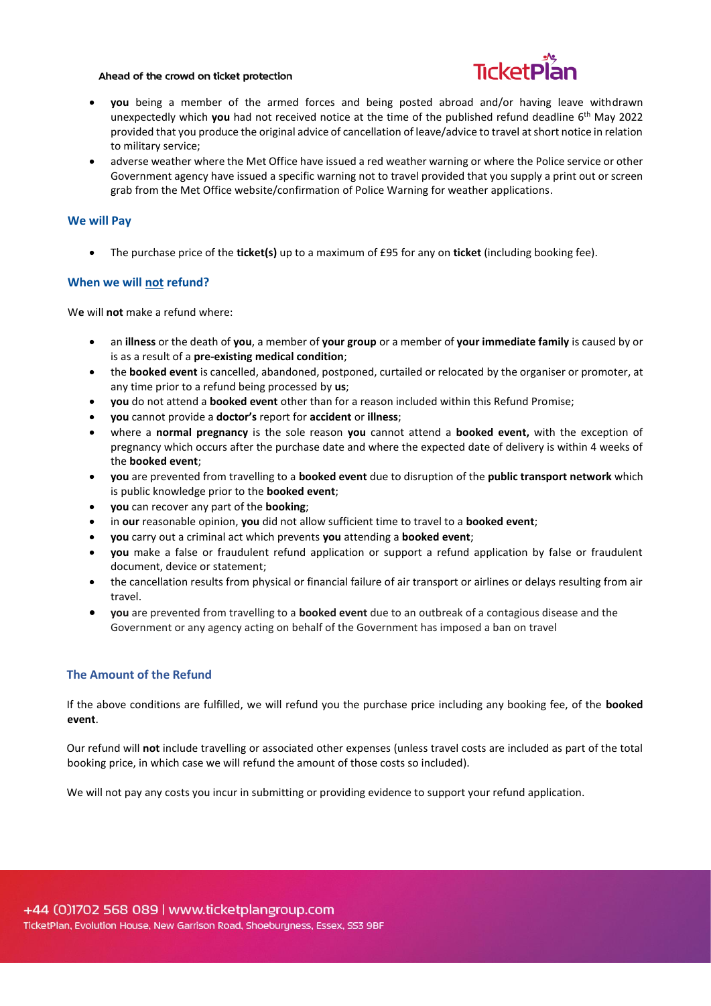#### Ahead of the crowd on ticket protection



- **you** being a member of the armed forces and being posted abroad and/or having leave withdrawn unexpectedly which **you** had not received notice at the time of the published refund deadline 6 th May 2022 provided that you produce the original advice of cancellation of leave/advice to travel at short notice in relation to military service;
- adverse weather where the Met Office have issued a red weather warning or where the Police service or other Government agency have issued a specific warning not to travel provided that you supply a print out or screen grab from the Met Office website/confirmation of Police Warning for weather applications.

### **We will Pay**

• The purchase price of the **ticket(s)** up to a maximum of £95 for any on **ticket** (including booking fee).

## **When we will not refund?**

W**e** will **not** make a refund where:

- an **illness** or the death of **you**, a member of **your group** or a member of **your immediate family** is caused by or is as a result of a **pre-existing medical condition**;
- the **booked event** is cancelled, abandoned, postponed, curtailed or relocated by the organiser or promoter, at any time prior to a refund being processed by **us**;
- **you** do not attend a **booked event** other than for a reason included within this Refund Promise;
- **you** cannot provide a **doctor's** report for **accident** or **illness**;
- where a **normal pregnancy** is the sole reason **you** cannot attend a **booked event,** with the exception of pregnancy which occurs after the purchase date and where the expected date of delivery is within 4 weeks of the **booked event**;
- **you** are prevented from travelling to a **booked event** due to disruption of the **public transport network** which is public knowledge prior to the **booked event**;
- **you** can recover any part of the **booking**;
- in **our** reasonable opinion, **you** did not allow sufficient time to travel to a **booked event**;
- **you** carry out a criminal act which prevents **you** attending a **booked event**;
- **you** make a false or fraudulent refund application or support a refund application by false or fraudulent document, device or statement;
- the cancellation results from physical or financial failure of air transport or airlines or delays resulting from air travel.
- **you** are prevented from travelling to a **booked event** due to an outbreak of a contagious disease and the Government or any agency acting on behalf of the Government has imposed a ban on travel

## **The Amount of the Refund**

If the above conditions are fulfilled, we will refund you the purchase price including any booking fee, of the **booked event**.

Our refund will **not** include travelling or associated other expenses (unless travel costs are included as part of the total booking price, in which case we will refund the amount of those costs so included).

We will not pay any costs you incur in submitting or providing evidence to support your refund application.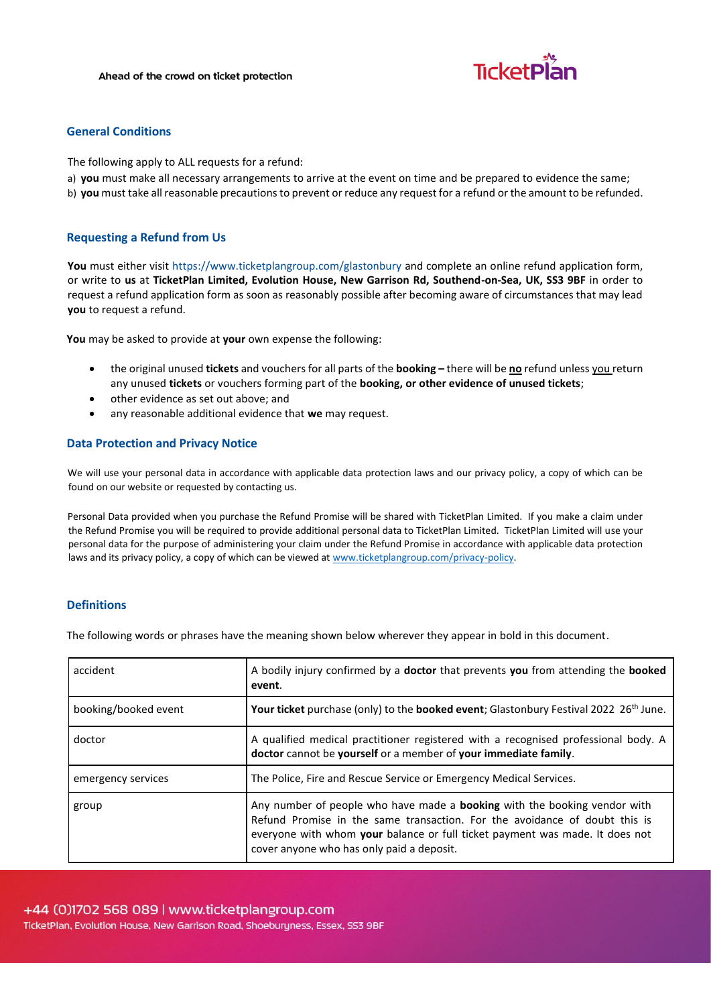

### **General Conditions**

The following apply to ALL requests for a refund:

- a) **you** must make all necessary arrangements to arrive at the event on time and be prepared to evidence the same;
- b) **you** must take all reasonable precautions to prevent or reduce any request for a refund or the amount to be refunded.

## **Requesting a Refund from Us**

**You** must either visit<https://www.ticketplangroup.com/glastonbury> [and](http://www.ticketplangroup.com/refund-application-form) complete an online refund application form, or write to **us** at **TicketPlan Limited, Evolution House, New Garrison Rd, Southend-on-Sea, UK, SS3 9BF** in order to request a refund application form as soon as reasonably possible after becoming aware of circumstances that may lead **you** to request a refund.

**You** may be asked to provide at **your** own expense the following:

- the original unused **tickets** and vouchers for all parts of the **booking –** there will be **no** refund unless you return any unused **tickets** or vouchers forming part of the **booking, or other evidence of unused tickets**;
- other evidence as set out above; and
- any reasonable additional evidence that **we** may request.

## **Data Protection and Privacy Notice**

We will use your personal data in accordance with applicable data protection laws and our privacy policy, a copy of which can be found on our website or requested by contacting us.

Personal Data provided when you purchase the Refund Promise will be shared with TicketPlan Limited. If you make a claim under the Refund Promise you will be required to provide additional personal data to TicketPlan Limited. TicketPlan Limited will use your personal data for the purpose of administering your claim under the Refund Promise in accordance with applicable data protection laws and its privacy policy, a copy of which can be viewed at [www.ticketplangroup.com/privacy-policy.](https://pierinsurance.sharepoint.com/sites/SharedDocuments/Documents/22.%20TicketPlan/Astrenska%20client%20documents/Templates/www.ticketplangroup.com/privacy-policy)

## **Definitions**

The following words or phrases have the meaning shown below wherever they appear in bold in this document.

| accident             | A bodily injury confirmed by a <b>doctor</b> that prevents you from attending the <b>booked</b><br>event.                                                                                                                                                                                   |
|----------------------|---------------------------------------------------------------------------------------------------------------------------------------------------------------------------------------------------------------------------------------------------------------------------------------------|
| booking/booked event | Your ticket purchase (only) to the booked event; Glastonbury Festival 2022 26 <sup>th</sup> June.                                                                                                                                                                                           |
| doctor               | A qualified medical practitioner registered with a recognised professional body. A<br>doctor cannot be yourself or a member of your immediate family.                                                                                                                                       |
| emergency services   | The Police, Fire and Rescue Service or Emergency Medical Services.                                                                                                                                                                                                                          |
| group                | Any number of people who have made a <b>booking</b> with the booking vendor with<br>Refund Promise in the same transaction. For the avoidance of doubt this is<br>everyone with whom your balance or full ticket payment was made. It does not<br>cover anyone who has only paid a deposit. |

TicketPlan, Evolution House, New Garrison Road, Shoeburyness, Essex, SS3 9BF